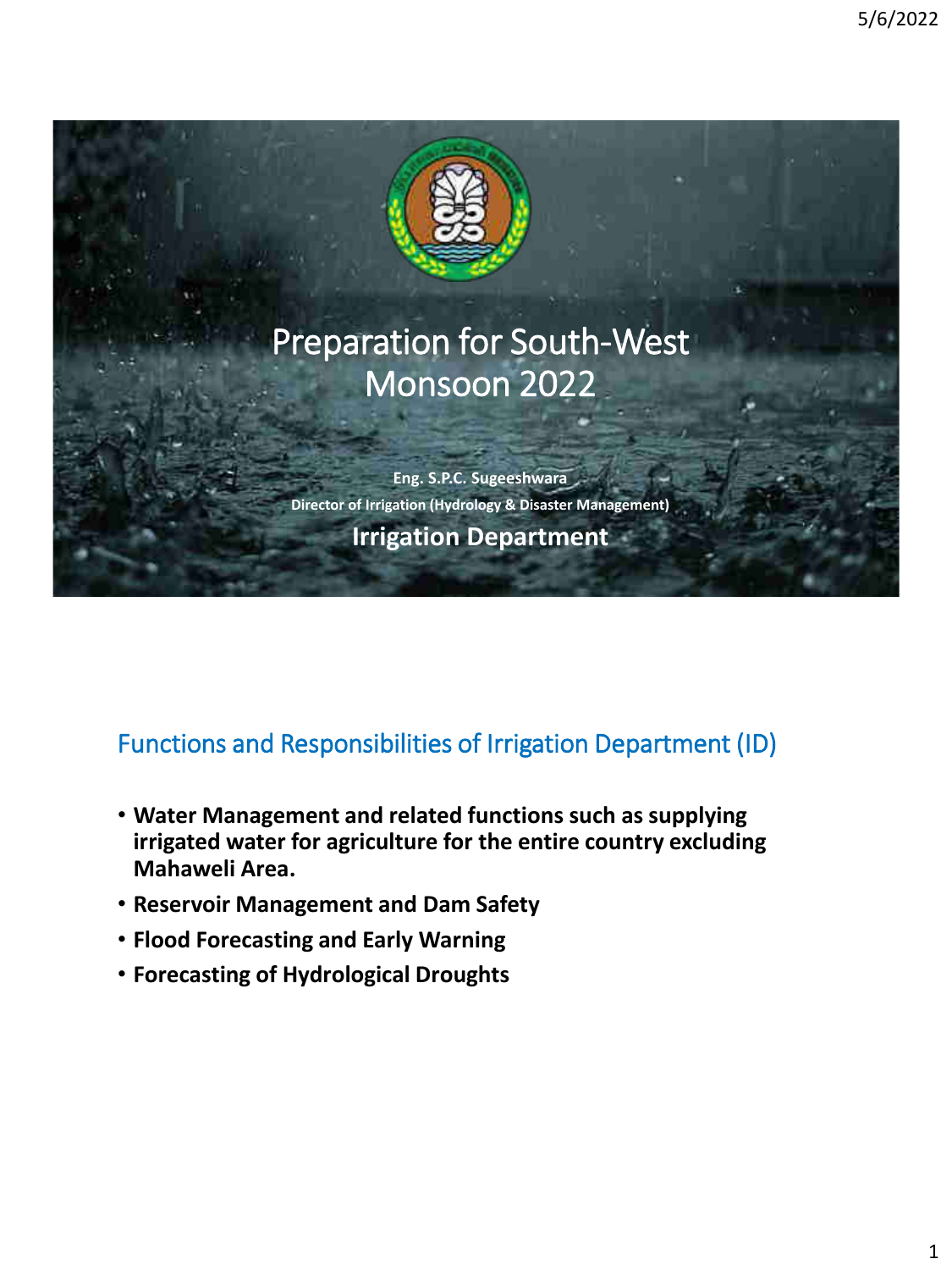

## Functions and Responsibilities of Irrigation Department (ID)

- **Water Management and related functions such as supplying irrigated water for agriculture for the entire country excluding Mahaweli Area.**
- **Reservoir Management and Dam Safety**
- **Flood Forecasting and Early Warning**
- **Forecasting of Hydrological Droughts**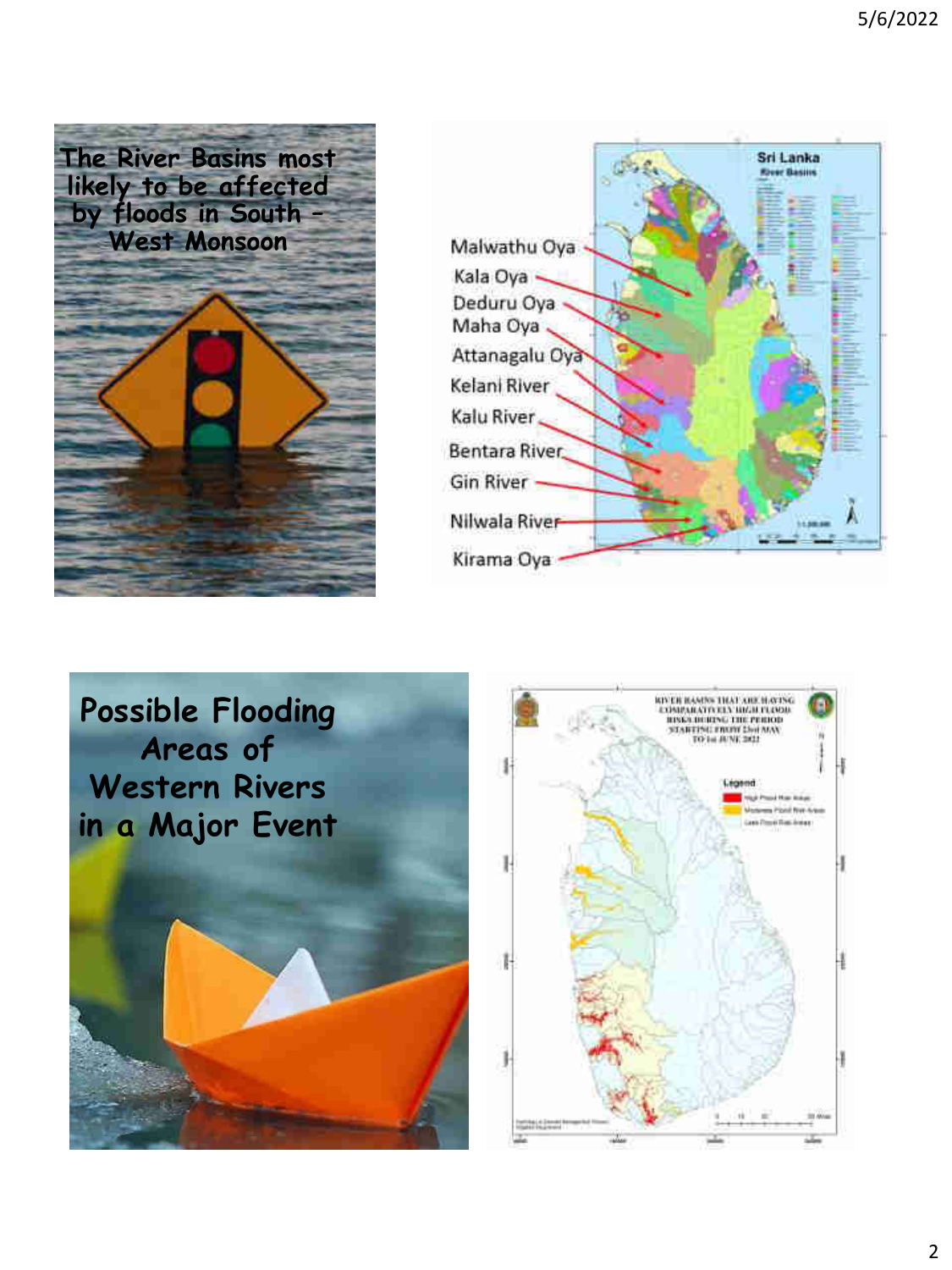





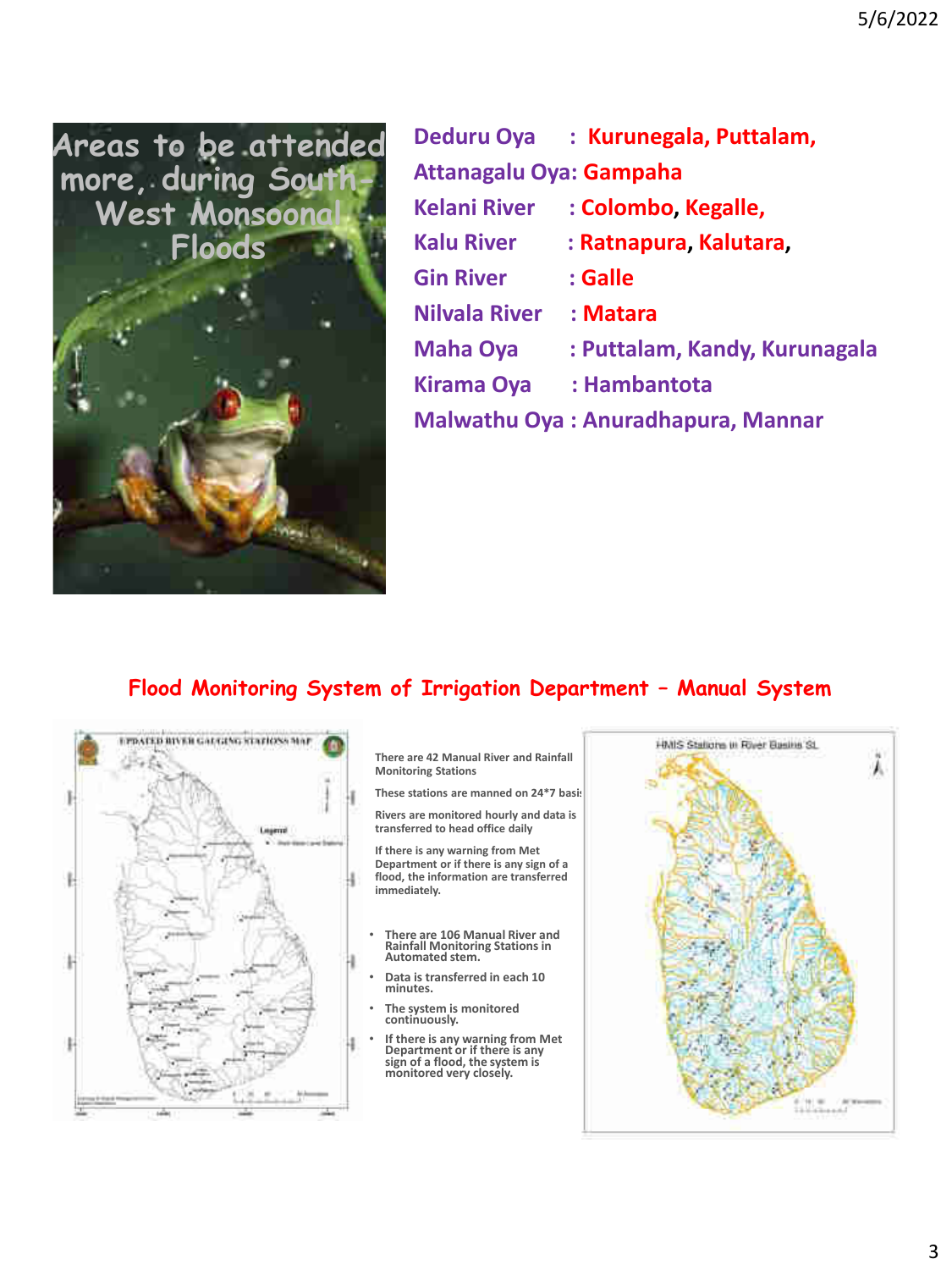

|                         | Deduru Oya : Kurunegala, Puttalam,        |
|-------------------------|-------------------------------------------|
| Attanagalu Oya: Gampaha |                                           |
| <b>Kelani River</b>     | : Colombo, Kegalle,                       |
| <b>Kalu River</b>       | : Ratnapura, Kalutara,                    |
| <b>Gin River</b>        | : Galle                                   |
| <b>Nilvala River</b>    | $\therefore$ Matara                       |
| <b>Maha Oya</b>         | : Puttalam, Kandy, Kurunagala             |
| Kirama Oya : Hambantota |                                           |
|                         | <b>Malwathu Oya: Anuradhapura, Mannar</b> |

## **Flood Monitoring System of Irrigation Department – Manual System**



• **There are 42 Manual River and Rainfall Monitoring Stations** 

• **These stations are manned on 24\*7 basis**

• **Rivers are monitored hourly and data is** 

**transferred to head office daily** • **If there is any warning from Met** 

**Department or if there is any sign of a flood, the information are transferred immediately.**

- **There are 106 Manual River and Rainfall Monitoring Stations in Automated stem.**
- **Data is transferred in each 10 minutes.**
- **The system is monitored continuously.**
- **If there is any warning from Met Department or if there is any sign of a flood, the system is monitored very closely.**

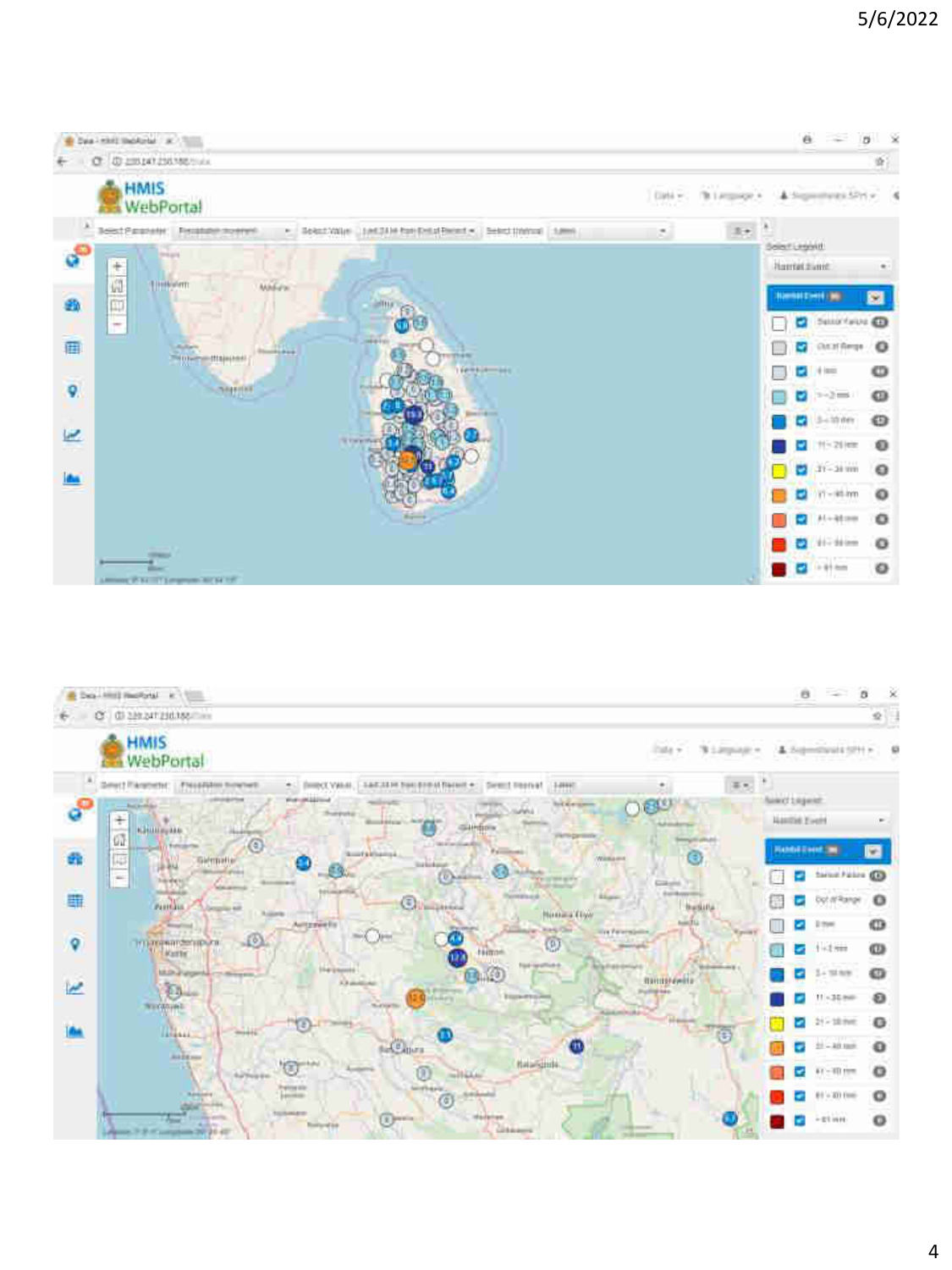

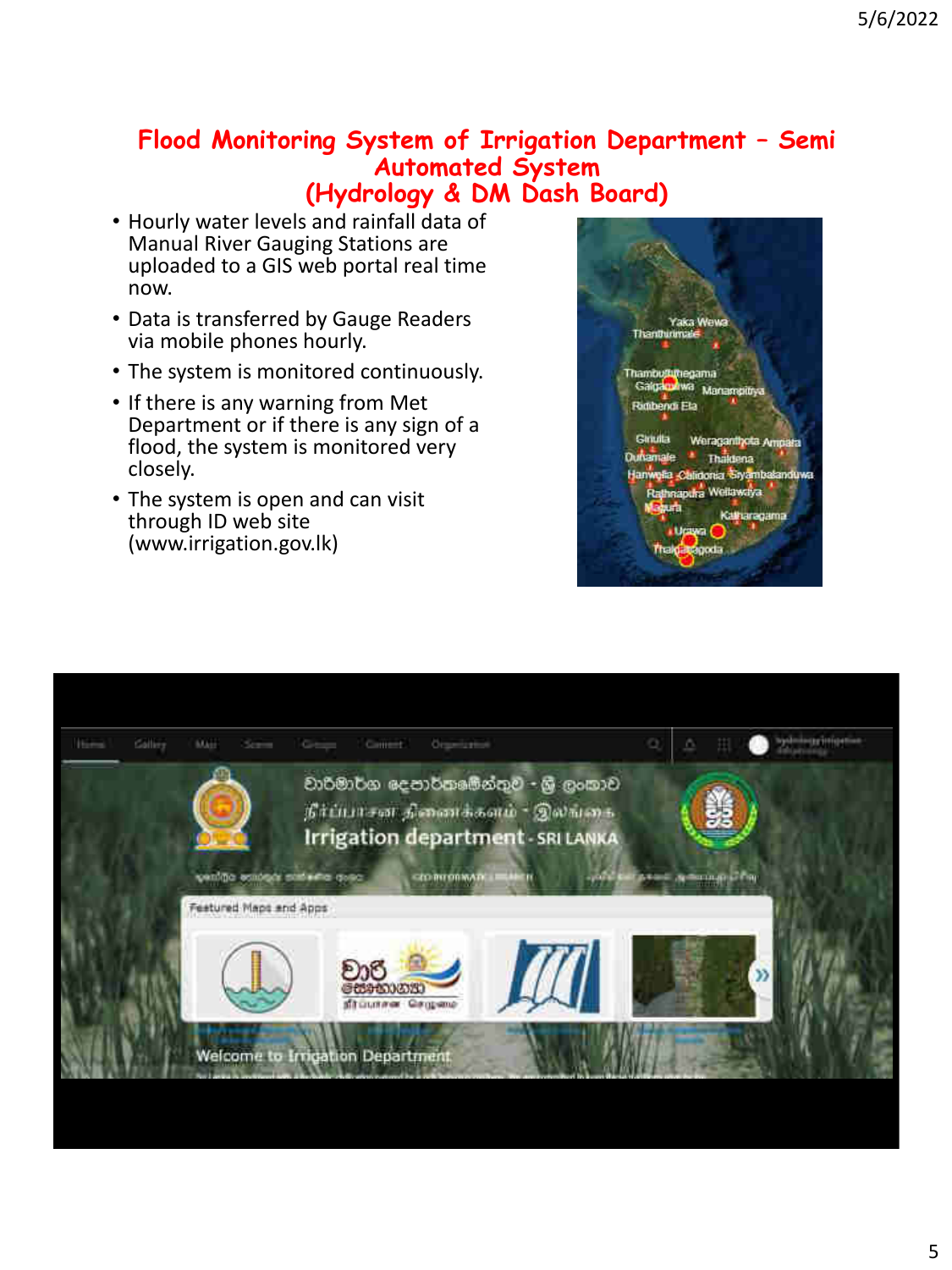## **Flood Monitoring System of Irrigation Department – Semi Automated System (Hydrology & DM Dash Board)**

- Hourly water levels and rainfall data of Manual River Gauging Stations are uploaded to a GIS web portal real time now.
- Data is transferred by Gauge Readers via mobile phones hourly.
- The system is monitored continuously.
- If there is any warning from Met Department or if there is any sign of a flood, the system is monitored very closely.
- The system is open and can visit through ID web site (www.irrigation.gov.lk)



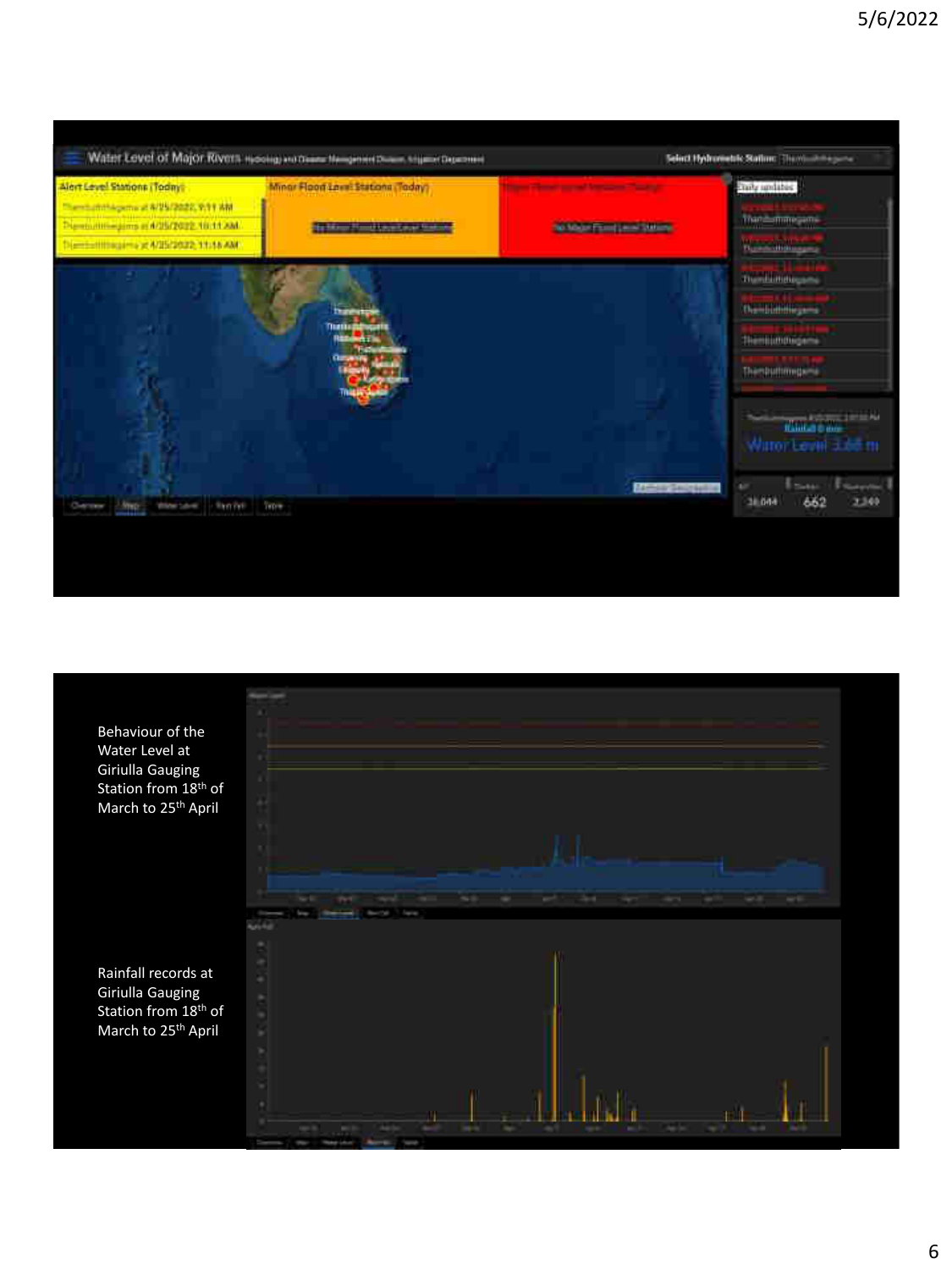

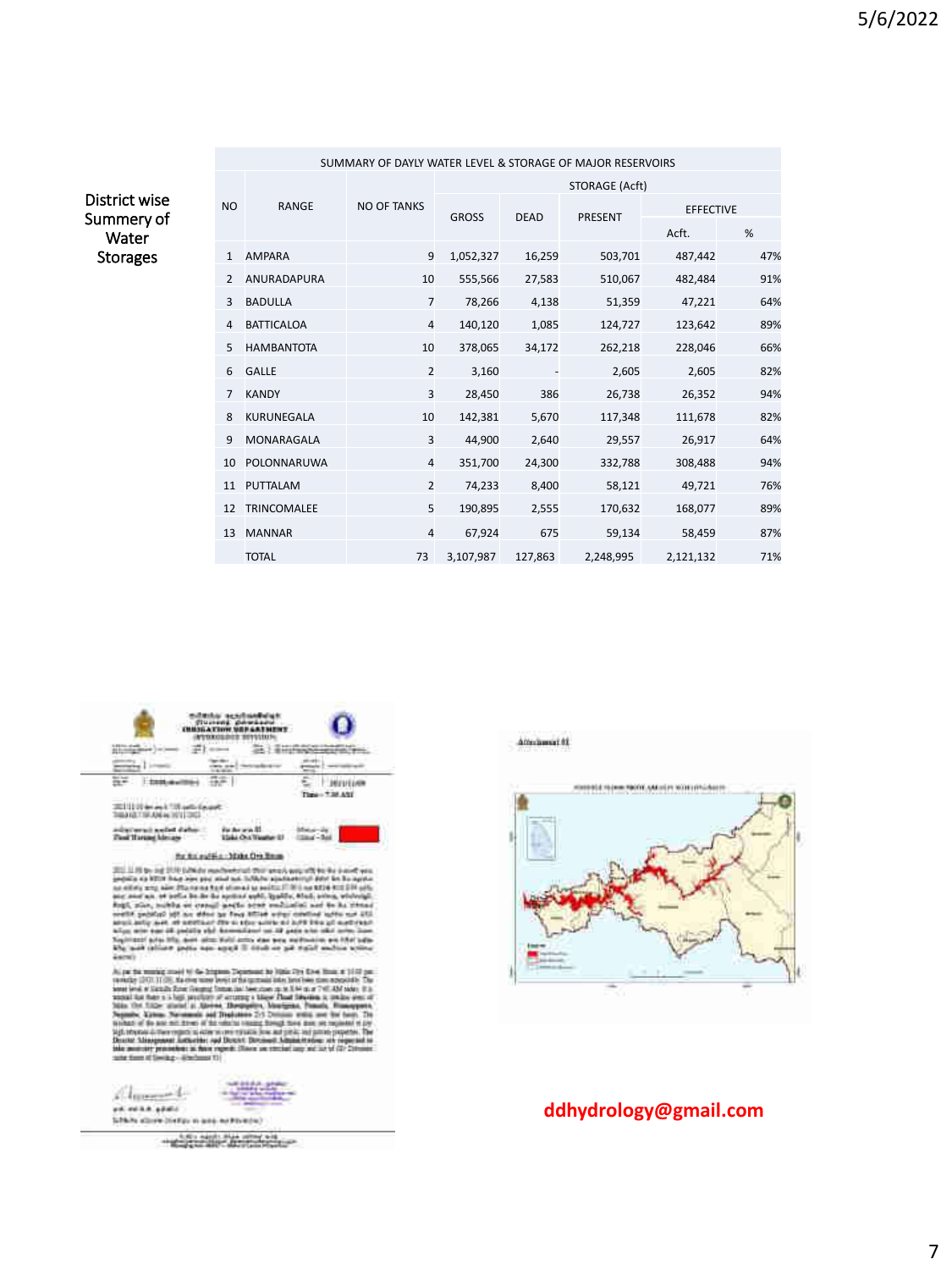|                |                   | SUMMARY OF DAYLY WATER LEVEL & STORAGE OF MAJOR RESERVOIRS |                |             |                |                  |     |
|----------------|-------------------|------------------------------------------------------------|----------------|-------------|----------------|------------------|-----|
|                | RANGE             | <b>NO OF TANKS</b>                                         | STORAGE (Acft) |             |                |                  |     |
| <b>NO</b>      |                   |                                                            | <b>GROSS</b>   | <b>DEAD</b> | <b>PRESENT</b> | <b>EFFECTIVE</b> |     |
|                |                   |                                                            |                |             |                | Acft.            | %   |
| $\mathbf{1}$   | <b>AMPARA</b>     | 9                                                          | 1,052,327      | 16,259      | 503,701        | 487,442          | 47% |
| $\overline{2}$ | ANURADAPURA       | 10                                                         | 555,566        | 27,583      | 510,067        | 482,484          | 91% |
| 3              | <b>BADULLA</b>    | $\overline{7}$                                             | 78,266         | 4,138       | 51,359         | 47,221           | 64% |
| $\overline{4}$ | <b>BATTICALOA</b> | $\overline{4}$                                             | 140,120        | 1,085       | 124,727        | 123,642          | 89% |
| 5              | <b>HAMBANTOTA</b> | 10                                                         | 378,065        | 34,172      | 262,218        | 228,046          | 66% |
| 6              | <b>GALLE</b>      | 2                                                          | 3,160          |             | 2,605          | 2,605            | 82% |
| $\overline{7}$ | <b>KANDY</b>      | 3                                                          | 28,450         | 386         | 26,738         | 26,352           | 94% |
| 8              | <b>KURUNEGALA</b> | 10                                                         | 142,381        | 5,670       | 117,348        | 111,678          | 82% |
| 9              | MONARAGALA        | 3                                                          | 44,900         | 2,640       | 29,557         | 26,917           | 64% |
|                | 10 POLONNARUWA    | $\overline{4}$                                             | 351,700        | 24,300      | 332,788        | 308,488          | 94% |
|                | 11 PUTTALAM       | $\overline{2}$                                             | 74,233         | 8,400       | 58,121         | 49,721           | 76% |
| 12             | TRINCOMALEE       | 5                                                          | 190,895        | 2,555       | 170,632        | 168,077          | 89% |
|                | 13 MANNAR         | $\overline{4}$                                             | 67.924         | 675         | 59,134         | 58,459           | 87% |
|                | <b>TOTAL</b>      | 73                                                         | 3,107,987      | 127,863     | 2,248,995      | 2,121,132        | 71% |





 $\lambda$  pa to multiply and  $\lambda$  the linear Deptember 10 Min (Fe) that first that the property of the first state and mass from the second to the state of the state of the state of the state of the state of the state of the s





Schule attorn the factor is any nothing to (

THE PERSONAL PROPERTY.



## **ddhydrology@gmail.com**